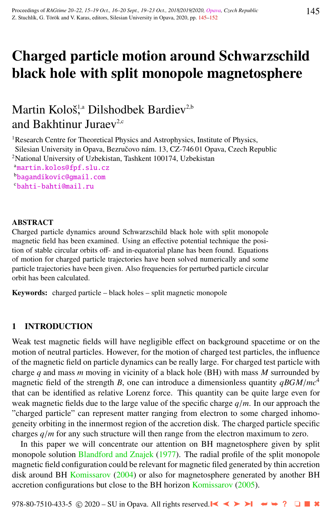# Charged particle motion around Schwarzschild black hole with split monopole magnetosphere

# Martin Kološ<sup>1,a</sup> Dilshodbek Bardiev<sup>2,b</sup> and Bakhtinur Juraev<sup>2,c</sup>

<sup>1</sup>Research Centre for Theoretical Physics and Astrophysics, Institute of Physics, Silesian University in Opava, Bezručovo nám. 13, CZ-746 01 Opava, Czech Republic <sup>2</sup>National University of Uzbekistan, Tashkent 100174, Uzbekistan <sup>a</sup>[martin.kolos@fpf.slu.cz](http://www.physics.cz/ martin.kolos@fpf.slu.cz) <sup>b</sup>[bagandikovic@gmail.com](http://www.physics.cz/ bagandikovic@gmail.com) <sup>c</sup>[bahti-bahti@mail.ru](http://www.physics.cz/ bahti-bahti@mail.ru)

#### ABSTRACT

Charged particle dynamics around Schwarzschild black hole with split monopole magnetic field has been examined. Using an effective potential technique the position of stable circular orbits off- and in-equatorial plane has been found. Equations of motion for charged particle trajectories have been solved numerically and some particle trajectories have been given. Also frequencies for perturbed particle circular orbit has been calculated.

Keywords: charged particle – black holes – split magnetic monopole

# 1 INTRODUCTION

Weak test magnetic fields will have negligible effect on background spacetime or on the motion of neutral particles. However, for the motion of charged test particles, the influence of the magnetic field on particle dynamics can be really large. For charged test particle with charge *q* and mass *m* moving in vicinity of a black hole (BH) with mass *M* surrounded by magnetic field of the strength *B*, one can introduce a dimensionless quantity  $qBGM/mc<sup>4</sup>$ that can be identified as relative Lorenz force. This quantity can be quite large even for weak magnetic fields due to the large value of the specific charge *<sup>q</sup>*/*m*. In our approach the "charged particle" can represent matter ranging from electron to some charged inhomogeneity orbiting in the innermost region of the accretion disk. The charged particle specific charges *<sup>q</sup>*/*<sup>m</sup>* for any such structure will then range from the electron maximum to zero.

In this paper we will concentrate our attention on BH magnetosphere given by split monopole solution [Blandford and Znajek](#page-7-0) [\(1977\)](#page-7-0). The radial profile of the split monopole magnetic field configuration could be relevant for magnetic filed generated by thin accretion disk around BH [Komissarov](#page-7-0) [\(2004\)](#page-7-0) or also for magnetosphere generated by another BH accretion configurations but close to the BH horizon [Komissarov](#page-7-0) [\(2005\)](#page-7-0).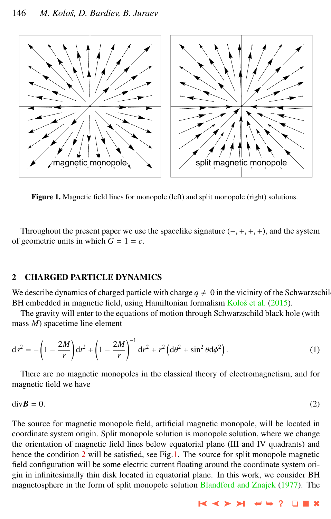<span id="page-1-0"></span>

Figure 1. Magnetic field lines for monopole (left) and split monopole (right) solutions.

Throughout the present paper we use the spacelike signature  $(-, +, +, +)$ , and the system of geometric units in which  $G = 1 = c$ .

## 2 CHARGED PARTICLE DYNAMICS

We describe dynamics of charged particle with charge  $q \neq 0$  in the vicinity of the Schwarzschild BH embedded in magnetic field, using Hamiltonian formalism Kološ et al. [\(2015\)](#page-7-0).

The gravity will enter to the equations of motion through Schwarzschild black hole (with mass *M*) spacetime line element

$$
ds^{2} = -\left(1 - \frac{2M}{r}\right)dt^{2} + \left(1 - \frac{2M}{r}\right)^{-1}dr^{2} + r^{2}\left(d\theta^{2} + \sin^{2}\theta d\phi^{2}\right).
$$
 (1)

There are no magnetic monopoles in the classical theory of electromagnetism, and for magnetic field we have

$$
\text{div}\mathbf{B} = 0. \tag{2}
$$

The source for magnetic monopole field, artificial magnetic monopole, will be located in coordinate system origin. Split monopole solution is monopole solution, where we change the orientation of magnetic field lines below equatorial plane (III and IV quadrants) and hence the condition 2 will be satisfied, see Fig.1. The source for split monopole magnetic field configuration will be some electric current floating around the coordinate system origin in infinitesimally thin disk located in equatorial plane. In this work, we consider BH magnetosphere in the form of split monopole solution [Blandford and Znajek](#page-7-0) [\(1977\)](#page-7-0). The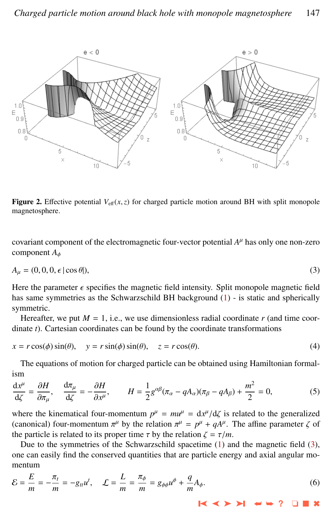<span id="page-2-0"></span>

**Figure 2.** Effective potential  $V_{\text{eff}}(x, z)$  for charged particle motion around BH with split monopole magnetosphere.

covariant component of the electromagnetic four-vector potential *A* <sup>µ</sup> has only one non-zero component *<sup>A</sup>*φ

$$
A_{\mu} = (0, 0, 0, \epsilon \mid \cos \theta), \tag{3}
$$

Here the parameter  $\epsilon$  specifies the magnetic field intensity. Split monopole magnetic field has same symmetries as the Schwarzschild BH background [\(1\)](#page-1-0) - is static and spherically symmetric.

Hereafter, we put  $M = 1$ , i.e., we use dimensionless radial coordinate  $r$  (and time coordinate *t*). Cartesian coordinates can be found by the coordinate transformations

$$
x = r\cos(\phi)\sin(\theta), \quad y = r\sin(\phi)\sin(\theta), \quad z = r\cos(\theta). \tag{4}
$$

The equations of motion for charged particle can be obtained using Hamiltonian formalism

$$
\frac{dx^{\mu}}{d\zeta} = \frac{\partial H}{\partial \pi_{\mu}}, \quad \frac{d\pi_{\mu}}{d\zeta} = -\frac{\partial H}{\partial x^{\mu}}, \qquad H = \frac{1}{2}g^{\alpha\beta}(\pi_{\alpha} - qA_{\alpha})(\pi_{\beta} - qA_{\beta}) + \frac{m^2}{2} = 0,
$$
(5)

where the kinematical four-momentum  $p^{\mu} = m\mu^{\mu} = dx^{\mu}/d\zeta$  is related to the generalized (canonical) four-momentum  $\pi^{\mu}$  by the relation  $\pi^{\mu} = n^{\mu} + d\mu^{\mu}$ . The affine parameter  $\zeta$  of (canonical) four-momentum  $\pi^{\mu}$  by the relation  $\pi^{\mu} = p^{\mu} + qA^{\mu}$ . The affine parameter  $\zeta$  of the particle is related to its proper time  $\tau$  by the relation  $\zeta - \tau/m$ the particle is related to its proper time  $\tau$  by the relation  $\zeta = \tau/m$ .

Due to the symmetries of the Schwarzschild spacetime [\(1\)](#page-1-0) and the magnetic field (3), one can easily find the conserved quantities that are particle energy and axial angular momentum

$$
\mathcal{E} = \frac{E}{m} = -\frac{\pi_t}{m} = -g_{tt}u^t, \quad \mathcal{L} = \frac{L}{m} = \frac{\pi_\phi}{m} = g_{\phi\phi}u^\phi + \frac{q}{m}A_\phi.
$$
\n
$$
(6)
$$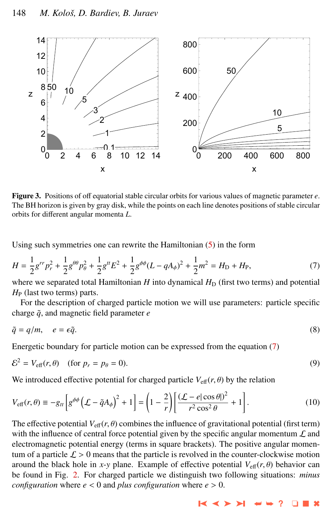<span id="page-3-0"></span>

Figure 3. Positions of off equatorial stable circular orbits for various values of magnetic parameter *e*. The BH horizon is given by gray disk, while the points on each line denotes positions of stable circular orbits for different angular momenta *L*.

Using such symmetries one can rewrite the Hamiltonian [\(5\)](#page-2-0) in the form

$$
H = \frac{1}{2}g^{rr}p_r^2 + \frac{1}{2}g^{\theta\theta}p_\theta^2 + \frac{1}{2}g^{tt}E^2 + \frac{1}{2}g^{\phi\phi}(L - qA_\phi)^2 + \frac{1}{2}m^2 = H_D + H_P,\tag{7}
$$

where we separated total Hamiltonian  $H$  into dynamical  $H_D$  (first two terms) and potential  $H_P$  (last two terms) parts.

For the description of charged particle motion we will use parameters: particle specific charge  $\tilde{q}$ , and magnetic field parameter  $e$ 

$$
\tilde{q} = q/m, \quad e = \epsilon \tilde{q}.\tag{8}
$$

Energetic boundary for particle motion can be expressed from the equation (7)

$$
\mathcal{E}^2 = V_{\text{eff}}(r,\theta) \quad \text{(for } p_r = p_\theta = 0\text{)}.
$$
\n<sup>(9)</sup>

We introduced effective potential for charged particle  $V_{\text{eff}}(r, \theta)$  by the relation

$$
V_{\text{eff}}(r,\theta) \equiv -g_{tt} \left[ g^{\phi\phi} \left( \mathcal{L} - \tilde{q} A_{\phi} \right)^2 + 1 \right] = \left( 1 - \frac{2}{r} \right) \left[ \frac{(\mathcal{L} - e|\cos\theta|)^2}{r^2 \cos^2\theta} + 1 \right].
$$
 (10)

The effective potential  $V_{\text{eff}}(r, \theta)$  combines the influence of gravitational potential (first term) with the influence of central force potential given by the specific angular momentum  $\mathcal L$  and electromagnetic potential energy (terms in square brackets). The positive angular momentum of a particle  $\mathcal{L} > 0$  means that the particle is revolved in the counter-clockwise motion around the black hole in *x*-*y* plane. Example of effective potential  $V_{\text{eff}}(r, \theta)$  behavior can be found in Fig. [2.](#page-2-0) For charged particle we distinguish two following situations: *minus configuration* where  $e < 0$  and *plus configuration* where  $e > 0$ .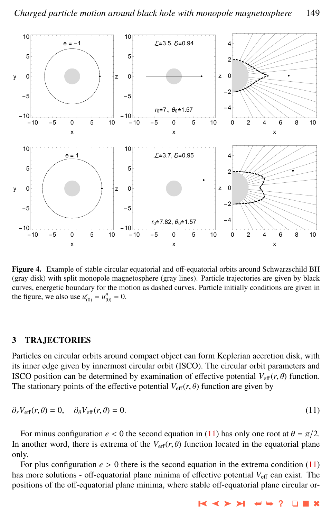<span id="page-4-0"></span>

Figure 4. Example of stable circular equatorial and off-equatorial orbits around Schwarzschild BH (gray disk) with split monopole magnetosphere (gray lines). Particle trajectories are given by black curves, energetic boundary for the motion as dashed curves. Particle initially conditions are given in the figure, we also use  $u_{(0)}^r = u_{(0)}^\theta = 0$ .

#### 3 TRAJECTORIES

Particles on circular orbits around compact object can form Keplerian accretion disk, with its inner edge given by innermost circular orbit (ISCO). The circular orbit parameters and ISCO position can be determined by examination of effective potential  $V_{\text{eff}}(r, \theta)$  function. The stationary points of the effective potential  $V_{\text{eff}}(r, \theta)$  function are given by

$$
\partial_r V_{\text{eff}}(r,\theta) = 0, \quad \partial_\theta V_{\text{eff}}(r,\theta) = 0.
$$
\n(11)

For minus configuration  $e < 0$  the second equation in (11) has only one root at  $\theta = \pi/2$ . In another word, there is extrema of the  $V_{\text{eff}}(r, \theta)$  function located in the equatorial plane only.

For plus configuration  $e > 0$  there is the second equation in the extrema condition (11) has more solutions - off-equatorial plane minima of effective potential  $V_{\text{eff}}$  can exist. The positions of the off-equatorial plane minima, where stable off-equatorial plane circular or-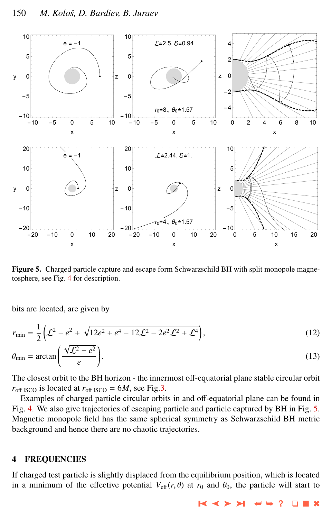

Figure 5. Charged particle capture and escape form Schwarzschild BH with split monopole magnetosphere, see Fig. [4](#page-4-0) for description.

bits are located, are given by

$$
r_{\min} = \frac{1}{2} \left( \mathcal{L}^2 - e^2 + \sqrt{12e^2 + e^4 - 12\mathcal{L}^2 - 2e^2\mathcal{L}^2 + \mathcal{L}^4} \right),\tag{12}
$$

$$
\theta_{\min} = \arctan\left(\frac{\sqrt{\mathcal{L}^2 - e^2}}{e}\right). \tag{13}
$$

The closest orbit to the BH horizon - the innermost off-equatorial plane stable circular orbit  $r_{\text{off ISCO}}$  is located at  $r_{\text{off ISCO}} = 6M$ , see Fig[.3.](#page-3-0)

Examples of charged particle circular orbits in and off-equatorial plane can be found in Fig. [4.](#page-4-0) We also give trajectories of escaping particle and particle captured by BH in Fig. 5. Magnetic monopole field has the same spherical symmetry as Schwarzschild BH metric background and hence there are no chaotic trajectories.

#### 4 FREQUENCIES

If charged test particle is slightly displaced from the equilibrium position, which is located in a minimum of the effective potential  $V_{\text{eff}}(r, \theta)$  at  $r_0$  and  $\theta_0$ , the particle will start to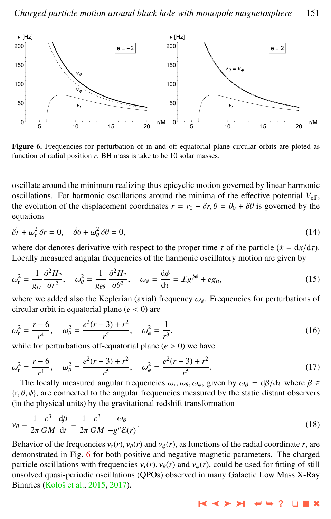

Figure 6. Frequencies for perturbation of in and off-equatorial plane circular orbits are ploted as function of radial position  $r$ . BH mass is take to be 10 solar masses.

oscillate around the minimum realizing thus epicyclic motion governed by linear harmonic oscillations. For harmonic oscillations around the minima of the effective potential  $V_{\text{eff}}$ , the evolution of the displacement coordinates  $r = r_0 + \delta r$ ,  $\theta = \theta_0 + \delta \theta$  is governed by the equations

$$
\ddot{\delta r} + \omega_r^2 \, \delta r = 0, \quad \ddot{\delta \theta} + \omega_\theta^2 \, \delta \theta = 0,\tag{14}
$$

where dot denotes derivative with respect to the proper time  $\tau$  of the particle ( $\dot{x} = dx/d\tau$ ). Locally measured angular frequencies of the harmonic oscillatory motion are given by

$$
\omega_{\rm r}^2 = \frac{1}{g_{rr}} \frac{\partial^2 H_{\rm P}}{\partial r^2}, \quad \omega_{\theta}^2 = \frac{1}{g_{\theta\theta}} \frac{\partial^2 H_{\rm P}}{\partial \theta^2}, \quad \omega_{\phi} = \frac{\mathrm{d}\phi}{\mathrm{d}\tau} = \mathcal{L} g^{\phi\phi} + e g_{tt},\tag{15}
$$

where we added also the Keplerian (axial) frequency  $\omega_{\phi}$ . Frequencies for perturbations of circular orbit in equatorial plane  $(e < 0)$  are circular orbit in equatorial plane (*<sup>e</sup>* < 0) are

$$
\omega_r^2 = \frac{r - 6}{r^4}, \quad \omega_\theta^2 = \frac{e^2(r - 3) + r^2}{r^5}, \quad \omega_\phi^2 = \frac{1}{r^3},\tag{16}
$$

while for perturbations off-equatorial plane  $(e > 0)$  we have

$$
\omega_r^2 = \frac{r-6}{r^4}, \quad \omega_\theta^2 = \frac{e^2(r-3) + r^2}{r^5}, \quad \omega_\phi^2 = \frac{e^2(r-3) + r^2}{r^5}.
$$
 (17)

The locally measured angular frequencies  $\omega_r$ ,  $\omega_\theta$ ,  $\omega_\phi$ , given by  $\omega_\beta = d\beta/d\tau$  where  $\beta \in \beta$  d) are connected to the angular frequencies measured by the static distant observers  $\{r, \theta, \phi\}$ , are connected to the angular frequencies measured by the static distant observers (in the physical units) by the gravitational redshift transformation

$$
\nu_{\beta} = \frac{1}{2\pi} \frac{c^3}{GM} \frac{d\beta}{dt} = \frac{1}{2\pi} \frac{c^3}{GM} \frac{\omega_{\beta}}{-g^{tt}\mathcal{E}(r)}.
$$
\n(18)

Behavior of the frequencies  $v_r(r)$ ,  $v_\theta(r)$  and  $v_\phi(r)$ , as functions of the radial coordinate *r*, are demonstrated in Fig. 6 for both positive and negative magnetic parameters. The charged demonstrated in Fig. 6 for both positive and negative magnetic parameters. The charged particle oscillations with frequencies  $v_r(r)$ ,  $v_\theta(r)$  and  $v_\phi(r)$ , could be used for fitting of still unsolved quasi-periodic oscillations (QPOs) observed in many Galactic Low Mass X-Ray Binaries (Kološ et al., [2015,](#page-7-0) [2017\)](#page-7-0).